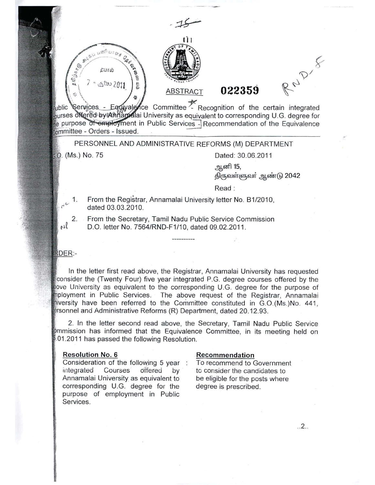ABSTRACT / . . '1~.f[It!J}~. ~ *" \.~ • ." It "',* **F': '-' - " SA'. " B**  $\begin{pmatrix} 1 & 1 & 1 \\ 1 & 1 & 1 \\ 1 & 1 & 1 \end{pmatrix}$ 9 ..., ,. .'" : ~  $1523222011$ 

# **022359**

RND-8

ublic Services - Equivalence Committee  $\leq$  Recognition of the certain integrated purses of fered by Ahilandiai University as equivalent to corresponding U.G. degree for ie purpose of employment in Public Services - Recommendation of the Equivalence committee - Orders - Issued. ~.

11,

PERSONNEL AND ADMINISTRATIVE REFORMS (M) DEPARTMENT

\~ '\

G.9. (Ms.) No. 75 Dated: 30.06.2011

<u>ஆ</u>னி 15,

திருவள்ளுவா் ஆண்டு 2042

Read:

- 1. From the Registrar, Annamalai University letter No. B1/2010, dated 03.03.2010.
- 2. From the Secretary, Tamil Nadu Public Service Commission D.O. letter No. 7564/RND-F1/10, dated 09.02.2011.

### **RDER:-**

 $r^{\nu}$ 

 $\mu$ 

In the letter first read above, the Registrar, Annamalai University has requested consider the (Twenty Four) five year integrated P.G. degree courses offered by the *ave* University as equivalent to the corresponding U.G. degree for the purpose of •ployment in Public Services. The above request of the Registrar, Annamalai hiversity have been referred to the Committee constituted in G.O.(Ms.)No. 441, ersonnel and Administrative Reforms (R) Department, dated 20.12.93.

2. In the letter second read above, the Secretary, Tamil Nadu Public Service ommission has informed that the Equivalence Committee, in its meeting held on .01.2011 has passed the following Resolution.

#### Resolution NO.6

Consideration of the following 5 year : integrated Courses offered by Annamalai University as equivalent to corresponding U.G. degree for the purpose of employment in Public Services.

#### Recommendation

To recommend to Government to consider the candidates to be eligible for the posts where degree is prescribed.

.2..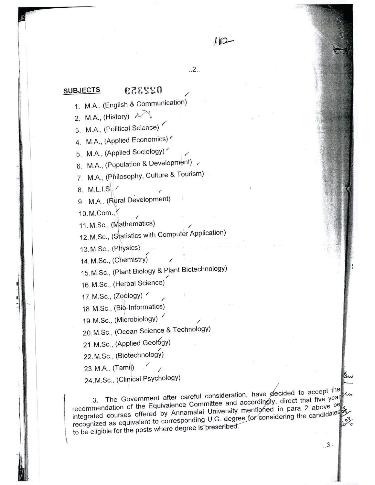#### 022359 **SUBJECTS**

1. MA, (English & Communication)

..2..

 $112$ 

,/

- 2. M.A., (History)  $\lambda$
- 3. M.A., (Political Science)

4. M.A., (Applied Economics)

5. M.A., (Applied Sociology)

6. M.A., (Population & Development)

7. M.A., (Philosophy, Culture & Tourism)

8. M.L.I.S $\left| \cdot \right|$ 

9. M.A., (Rural Development)

10. M.Com.,

1

- I

i:

", I !

i'

 $1201$ 

11. M.Sc., (Mathematics)

12. M.Sc., (Statistics with Computer Application

13. M.Sc., (Physics)  $\sim$   $\sim$   $\sim$ 

14. M.Sc., (Chemistry)  $\qquad\qquad$ 

15. M.Sc., (Plant Biology & Plant Biotechnology)

16, M.Sc., (Herbal Science)

17. M.Sc., (Zoology)  $\checkmark$ 

18. M.Sc., (Bio-Informatics)

19, M.Sc., (Microbiology) **/** 

20. M.Sc., (Ocean Science & Technology)

21. M.Sc., (Applied Geol6gy)

22. M.Sc., (Biotechnology)

23. M.A.,  $(Tamil)$  /

I 24. M.Sc., (Clinical Psychology)

3. The Government after careful consideration, have decided to accept the recommendation of the Equivalence Committee and accordingly, direct that five year integrated courses offered by Annamalai University mentioned in para 2 above be regrated as equivalent to corresponding U.G. degree for considering the candidate  $\mu$  or the posts where degree is prescribed.

Du

 $3.3$